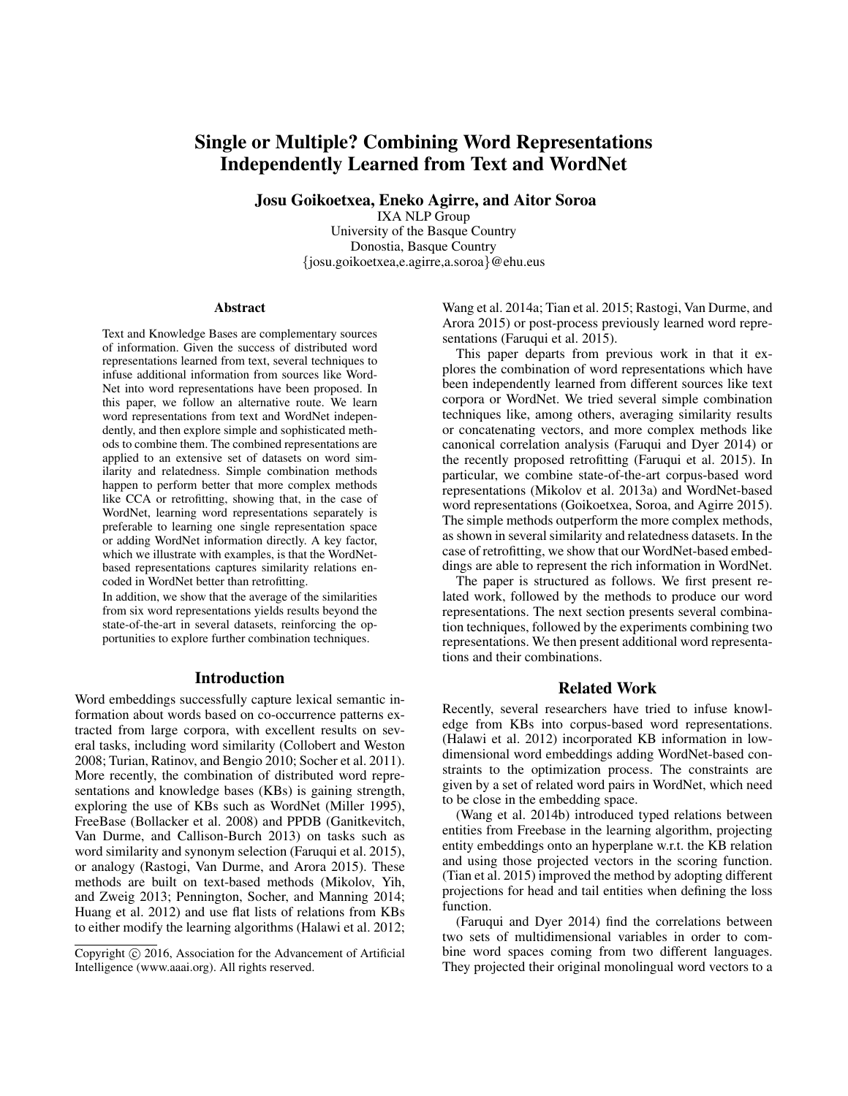# Single or Multiple? Combining Word Representations Independently Learned from Text and WordNet

Josu Goikoetxea, Eneko Agirre, and Aitor Soroa

IXA NLP Group University of the Basque Country Donostia, Basque Country {josu.goikoetxea,e.agirre,a.soroa}@ehu.eus

#### Abstract

Text and Knowledge Bases are complementary sources of information. Given the success of distributed word representations learned from text, several techniques to infuse additional information from sources like Word-Net into word representations have been proposed. In this paper, we follow an alternative route. We learn word representations from text and WordNet independently, and then explore simple and sophisticated methods to combine them. The combined representations are applied to an extensive set of datasets on word similarity and relatedness. Simple combination methods happen to perform better that more complex methods like CCA or retrofitting, showing that, in the case of WordNet, learning word representations separately is preferable to learning one single representation space or adding WordNet information directly. A key factor, which we illustrate with examples, is that the WordNetbased representations captures similarity relations encoded in WordNet better than retrofitting.

In addition, we show that the average of the similarities from six word representations yields results beyond the state-of-the-art in several datasets, reinforcing the opportunities to explore further combination techniques.

### Introduction

Word embeddings successfully capture lexical semantic information about words based on co-occurrence patterns extracted from large corpora, with excellent results on several tasks, including word similarity (Collobert and Weston 2008; Turian, Ratinov, and Bengio 2010; Socher et al. 2011). More recently, the combination of distributed word representations and knowledge bases (KBs) is gaining strength, exploring the use of KBs such as WordNet (Miller 1995), FreeBase (Bollacker et al. 2008) and PPDB (Ganitkevitch, Van Durme, and Callison-Burch 2013) on tasks such as word similarity and synonym selection (Faruqui et al. 2015), or analogy (Rastogi, Van Durme, and Arora 2015). These methods are built on text-based methods (Mikolov, Yih, and Zweig 2013; Pennington, Socher, and Manning 2014; Huang et al. 2012) and use flat lists of relations from KBs to either modify the learning algorithms (Halawi et al. 2012;

Wang et al. 2014a; Tian et al. 2015; Rastogi, Van Durme, and Arora 2015) or post-process previously learned word representations (Faruqui et al. 2015).

This paper departs from previous work in that it explores the combination of word representations which have been independently learned from different sources like text corpora or WordNet. We tried several simple combination techniques like, among others, averaging similarity results or concatenating vectors, and more complex methods like canonical correlation analysis (Faruqui and Dyer 2014) or the recently proposed retrofitting (Faruqui et al. 2015). In particular, we combine state-of-the-art corpus-based word representations (Mikolov et al. 2013a) and WordNet-based word representations (Goikoetxea, Soroa, and Agirre 2015). The simple methods outperform the more complex methods, as shown in several similarity and relatedness datasets. In the case of retrofitting, we show that our WordNet-based embeddings are able to represent the rich information in WordNet.

The paper is structured as follows. We first present related work, followed by the methods to produce our word representations. The next section presents several combination techniques, followed by the experiments combining two representations. We then present additional word representations and their combinations.

### Related Work

Recently, several researchers have tried to infuse knowledge from KBs into corpus-based word representations. (Halawi et al. 2012) incorporated KB information in lowdimensional word embeddings adding WordNet-based constraints to the optimization process. The constraints are given by a set of related word pairs in WordNet, which need to be close in the embedding space.

(Wang et al. 2014b) introduced typed relations between entities from Freebase in the learning algorithm, projecting entity embeddings onto an hyperplane w.r.t. the KB relation and using those projected vectors in the scoring function. (Tian et al. 2015) improved the method by adopting different projections for head and tail entities when defining the loss function.

(Faruqui and Dyer 2014) find the correlations between two sets of multidimensional variables in order to combine word spaces coming from two different languages. They projected their original monolingual word vectors to a

Copyright (c) 2016, Association for the Advancement of Artificial Intelligence (www.aaai.org). All rights reserved.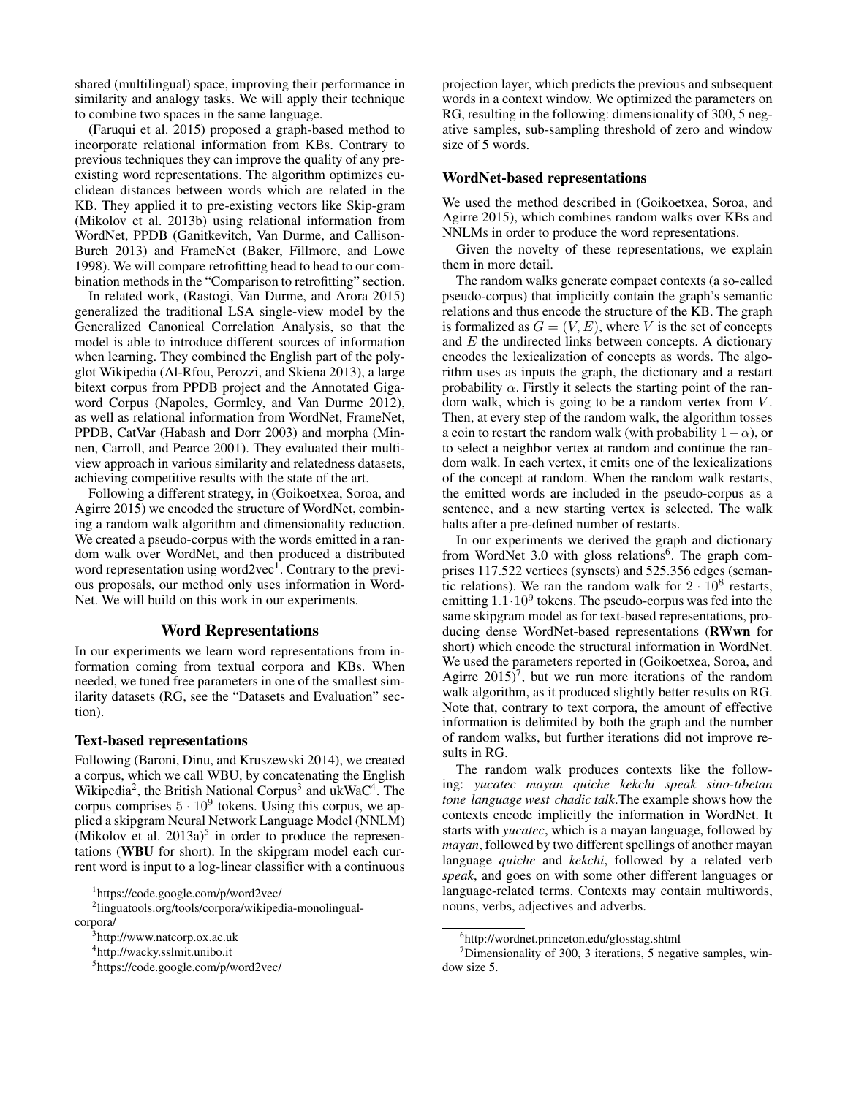shared (multilingual) space, improving their performance in similarity and analogy tasks. We will apply their technique to combine two spaces in the same language.

(Faruqui et al. 2015) proposed a graph-based method to incorporate relational information from KBs. Contrary to previous techniques they can improve the quality of any preexisting word representations. The algorithm optimizes euclidean distances between words which are related in the KB. They applied it to pre-existing vectors like Skip-gram (Mikolov et al. 2013b) using relational information from WordNet, PPDB (Ganitkevitch, Van Durme, and Callison-Burch 2013) and FrameNet (Baker, Fillmore, and Lowe 1998). We will compare retrofitting head to head to our combination methods in the "Comparison to retrofitting" section.

In related work, (Rastogi, Van Durme, and Arora 2015) generalized the traditional LSA single-view model by the Generalized Canonical Correlation Analysis, so that the model is able to introduce different sources of information when learning. They combined the English part of the polyglot Wikipedia (Al-Rfou, Perozzi, and Skiena 2013), a large bitext corpus from PPDB project and the Annotated Gigaword Corpus (Napoles, Gormley, and Van Durme 2012), as well as relational information from WordNet, FrameNet, PPDB, CatVar (Habash and Dorr 2003) and morpha (Minnen, Carroll, and Pearce 2001). They evaluated their multiview approach in various similarity and relatedness datasets, achieving competitive results with the state of the art.

Following a different strategy, in (Goikoetxea, Soroa, and Agirre 2015) we encoded the structure of WordNet, combining a random walk algorithm and dimensionality reduction. We created a pseudo-corpus with the words emitted in a random walk over WordNet, and then produced a distributed word representation using word2vec<sup>1</sup>. Contrary to the previous proposals, our method only uses information in Word-Net. We will build on this work in our experiments.

### Word Representations

In our experiments we learn word representations from information coming from textual corpora and KBs. When needed, we tuned free parameters in one of the smallest similarity datasets (RG, see the "Datasets and Evaluation" section).

### Text-based representations

Following (Baroni, Dinu, and Kruszewski 2014), we created a corpus, which we call WBU, by concatenating the English Wikipedia<sup>2</sup>, the British National Corpus<sup>3</sup> and ukWaC<sup>4</sup>. The corpus comprises  $5 \cdot 10^9$  tokens. Using this corpus, we applied a skipgram Neural Network Language Model (NNLM) (Mikolov et al.  $2013a$ )<sup>5</sup> in order to produce the representations (WBU for short). In the skipgram model each current word is input to a log-linear classifier with a continuous

projection layer, which predicts the previous and subsequent words in a context window. We optimized the parameters on RG, resulting in the following: dimensionality of 300, 5 negative samples, sub-sampling threshold of zero and window size of 5 words.

### WordNet-based representations

We used the method described in (Goikoetxea, Soroa, and Agirre 2015), which combines random walks over KBs and NNLMs in order to produce the word representations.

Given the novelty of these representations, we explain them in more detail.

The random walks generate compact contexts (a so-called pseudo-corpus) that implicitly contain the graph's semantic relations and thus encode the structure of the KB. The graph is formalized as  $G = (V, E)$ , where V is the set of concepts and  $E$  the undirected links between concepts. A dictionary encodes the lexicalization of concepts as words. The algorithm uses as inputs the graph, the dictionary and a restart probability  $\alpha$ . Firstly it selects the starting point of the random walk, which is going to be a random vertex from  $V$ . Then, at every step of the random walk, the algorithm tosses a coin to restart the random walk (with probability  $1-\alpha$ ), or to select a neighbor vertex at random and continue the random walk. In each vertex, it emits one of the lexicalizations of the concept at random. When the random walk restarts, the emitted words are included in the pseudo-corpus as a sentence, and a new starting vertex is selected. The walk halts after a pre-defined number of restarts.

In our experiments we derived the graph and dictionary from WordNet 3.0 with gloss relations<sup>6</sup>. The graph comprises 117.522 vertices (synsets) and 525.356 edges (semantic relations). We ran the random walk for  $2 \cdot 10^8$  restarts, emitting  $1.1 \cdot 10^9$  tokens. The pseudo-corpus was fed into the same skipgram model as for text-based representations, producing dense WordNet-based representations (RWwn for short) which encode the structural information in WordNet. We used the parameters reported in (Goikoetxea, Soroa, and Agirre  $2015$ <sup>7</sup>, but we run more iterations of the random walk algorithm, as it produced slightly better results on RG. Note that, contrary to text corpora, the amount of effective information is delimited by both the graph and the number of random walks, but further iterations did not improve results in RG.

The random walk produces contexts like the following: *yucatec mayan quiche kekchi speak sino-tibetan tone language west chadic talk*.The example shows how the contexts encode implicitly the information in WordNet. It starts with *yucatec*, which is a mayan language, followed by *mayan*, followed by two different spellings of another mayan language *quiche* and *kekchi*, followed by a related verb *speak*, and goes on with some other different languages or language-related terms. Contexts may contain multiwords, nouns, verbs, adjectives and adverbs.

<sup>1</sup> https://code.google.com/p/word2vec/

<sup>2</sup> linguatools.org/tools/corpora/wikipedia-monolingualcorpora/

<sup>3</sup> http://www.natcorp.ox.ac.uk

<sup>4</sup> http://wacky.sslmit.unibo.it

<sup>5</sup> https://code.google.com/p/word2vec/

<sup>6</sup> http://wordnet.princeton.edu/glosstag.shtml

 $7$ Dimensionality of 300, 3 iterations, 5 negative samples, window size 5.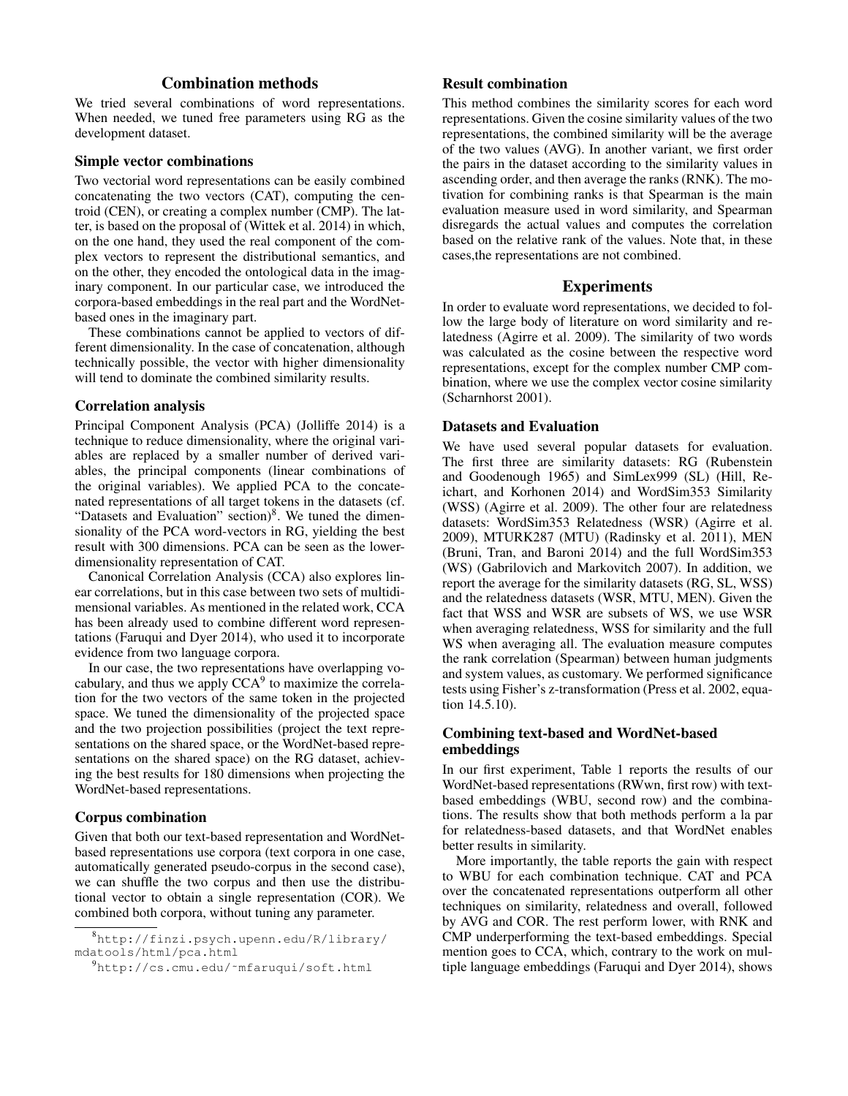# Combination methods

We tried several combinations of word representations. When needed, we tuned free parameters using RG as the development dataset.

# Simple vector combinations

Two vectorial word representations can be easily combined concatenating the two vectors (CAT), computing the centroid (CEN), or creating a complex number (CMP). The latter, is based on the proposal of (Wittek et al. 2014) in which, on the one hand, they used the real component of the complex vectors to represent the distributional semantics, and on the other, they encoded the ontological data in the imaginary component. In our particular case, we introduced the corpora-based embeddings in the real part and the WordNetbased ones in the imaginary part.

These combinations cannot be applied to vectors of different dimensionality. In the case of concatenation, although technically possible, the vector with higher dimensionality will tend to dominate the combined similarity results.

### Correlation analysis

Principal Component Analysis (PCA) (Jolliffe 2014) is a technique to reduce dimensionality, where the original variables are replaced by a smaller number of derived variables, the principal components (linear combinations of the original variables). We applied PCA to the concatenated representations of all target tokens in the datasets (cf. "Datasets and Evaluation" section)<sup>8</sup>. We tuned the dimensionality of the PCA word-vectors in RG, yielding the best result with 300 dimensions. PCA can be seen as the lowerdimensionality representation of CAT.

Canonical Correlation Analysis (CCA) also explores linear correlations, but in this case between two sets of multidimensional variables. As mentioned in the related work, CCA has been already used to combine different word representations (Faruqui and Dyer 2014), who used it to incorporate evidence from two language corpora.

In our case, the two representations have overlapping vocabulary, and thus we apply  $CCA<sup>9</sup>$  to maximize the correlation for the two vectors of the same token in the projected space. We tuned the dimensionality of the projected space and the two projection possibilities (project the text representations on the shared space, or the WordNet-based representations on the shared space) on the RG dataset, achieving the best results for 180 dimensions when projecting the WordNet-based representations.

## Corpus combination

Given that both our text-based representation and WordNetbased representations use corpora (text corpora in one case, automatically generated pseudo-corpus in the second case), we can shuffle the two corpus and then use the distributional vector to obtain a single representation (COR). We combined both corpora, without tuning any parameter.

# Result combination

This method combines the similarity scores for each word representations. Given the cosine similarity values of the two representations, the combined similarity will be the average of the two values (AVG). In another variant, we first order the pairs in the dataset according to the similarity values in ascending order, and then average the ranks (RNK). The motivation for combining ranks is that Spearman is the main evaluation measure used in word similarity, and Spearman disregards the actual values and computes the correlation based on the relative rank of the values. Note that, in these cases,the representations are not combined.

# Experiments

In order to evaluate word representations, we decided to follow the large body of literature on word similarity and relatedness (Agirre et al. 2009). The similarity of two words was calculated as the cosine between the respective word representations, except for the complex number CMP combination, where we use the complex vector cosine similarity (Scharnhorst 2001).

### Datasets and Evaluation

We have used several popular datasets for evaluation. The first three are similarity datasets: RG (Rubenstein and Goodenough 1965) and SimLex999 (SL) (Hill, Reichart, and Korhonen 2014) and WordSim353 Similarity (WSS) (Agirre et al. 2009). The other four are relatedness datasets: WordSim353 Relatedness (WSR) (Agirre et al. 2009), MTURK287 (MTU) (Radinsky et al. 2011), MEN (Bruni, Tran, and Baroni 2014) and the full WordSim353 (WS) (Gabrilovich and Markovitch 2007). In addition, we report the average for the similarity datasets (RG, SL, WSS) and the relatedness datasets (WSR, MTU, MEN). Given the fact that WSS and WSR are subsets of WS, we use WSR when averaging relatedness, WSS for similarity and the full WS when averaging all. The evaluation measure computes the rank correlation (Spearman) between human judgments and system values, as customary. We performed significance tests using Fisher's z-transformation (Press et al. 2002, equation 14.5.10).

# Combining text-based and WordNet-based embeddings

In our first experiment, Table 1 reports the results of our WordNet-based representations (RWwn, first row) with textbased embeddings (WBU, second row) and the combinations. The results show that both methods perform a la par for relatedness-based datasets, and that WordNet enables better results in similarity.

More importantly, the table reports the gain with respect to WBU for each combination technique. CAT and PCA over the concatenated representations outperform all other techniques on similarity, relatedness and overall, followed by AVG and COR. The rest perform lower, with RNK and CMP underperforming the text-based embeddings. Special mention goes to CCA, which, contrary to the work on multiple language embeddings (Faruqui and Dyer 2014), shows

<sup>8</sup>http://finzi.psych.upenn.edu/R/library/ mdatools/html/pca.html

<sup>9</sup>http://cs.cmu.edu/˜mfaruqui/soft.html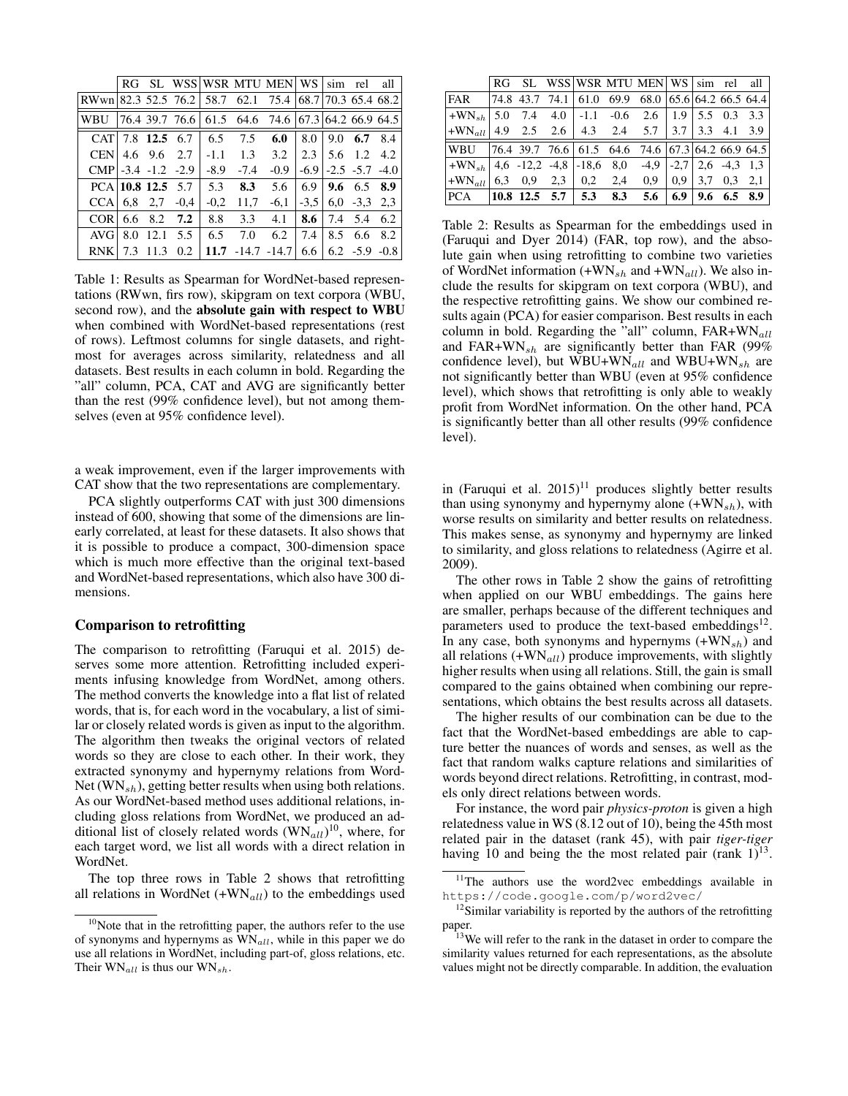|                                                        |     |                  |                    |        |                | RG SL WSS WSR MTU MEN WS sim rel                                        |        |     |                                  | all    |
|--------------------------------------------------------|-----|------------------|--------------------|--------|----------------|-------------------------------------------------------------------------|--------|-----|----------------------------------|--------|
| RWwn 82.3 52.5 76.2 58.7 62.1 75.4 68.7 70.3 65.4 68.2 |     |                  |                    |        |                |                                                                         |        |     |                                  |        |
| WBU                                                    |     |                  |                    |        |                | $ 76.4 \t39.7 \t76.6 \t61.5 \t64.6 \t74.6 \t67.3 \t64.2 \t66.9 \t64.5 $ |        |     |                                  |        |
|                                                        |     |                  | CAT $7.8$ 12.5 6.7 | 6.5    | 7.5            | 6.0                                                                     |        |     | $8.0 \pm 9.0$ 6.7 8.4            |        |
| <b>CEN</b>                                             |     | 4.6 $9.6$ 2.7    |                    | $-1.1$ | 1.3            | 3.2                                                                     |        |     | $2.3 \mid 5.6 \mid 1.2 \mid 4.2$ |        |
| $CMP$ -3.4 -1.2 -2.9                                   |     |                  |                    | $-8.9$ | $-7.4$         | $-0.9$                                                                  | $-6.9$ |     | $-2.5 -5.7 -4.0$                 |        |
| $PCA$ 10.8 12.5 5.7                                    |     |                  |                    | 5.3    | 8.3            | 5.6                                                                     | 6.9    |     | 9.6 6.5 8.9                      |        |
| <b>CCA</b>                                             |     |                  | $6,8$ 2,7 $-0,4$   | $-0.2$ | 11,7           | $-6,1$                                                                  |        |     | $-3,5$ 6,0 $-3,3$ 2,3            |        |
| COR <sup>1</sup>                                       | 6.6 | 8.2              | 7.2                | 8.8    | 3.3            | 4.1                                                                     | 8.6    |     | 7.4 5.4                          | 6.2    |
| AVG                                                    | 8.0 | $12.1 \quad 5.5$ |                    | 6.5    | 7.0            | 6.2                                                                     | 7.4    | 8.5 | 6.6                              | 8.2    |
| <b>RNK</b>                                             | 7.3 | 11.3             | 0.2                | 11.7   | $-14.7 - 14.7$ |                                                                         | 6.6    |     | $6.2 - 5.9$                      | $-0.8$ |

Table 1: Results as Spearman for WordNet-based representations (RWwn, firs row), skipgram on text corpora (WBU, second row), and the absolute gain with respect to WBU when combined with WordNet-based representations (rest of rows). Leftmost columns for single datasets, and rightmost for averages across similarity, relatedness and all datasets. Best results in each column in bold. Regarding the "all" column, PCA, CAT and AVG are significantly better than the rest (99% confidence level), but not among themselves (even at 95% confidence level).

a weak improvement, even if the larger improvements with CAT show that the two representations are complementary.

PCA slightly outperforms CAT with just 300 dimensions instead of 600, showing that some of the dimensions are linearly correlated, at least for these datasets. It also shows that it is possible to produce a compact, 300-dimension space which is much more effective than the original text-based and WordNet-based representations, which also have 300 dimensions.

### Comparison to retrofitting

The comparison to retrofitting (Faruqui et al. 2015) deserves some more attention. Retrofitting included experiments infusing knowledge from WordNet, among others. The method converts the knowledge into a flat list of related words, that is, for each word in the vocabulary, a list of similar or closely related words is given as input to the algorithm. The algorithm then tweaks the original vectors of related words so they are close to each other. In their work, they extracted synonymy and hypernymy relations from Word-Net  $(WN_{sh})$ , getting better results when using both relations. As our WordNet-based method uses additional relations, including gloss relations from WordNet, we produced an additional list of closely related words  $(WN_{all})^{10}$ , where, for each target word, we list all words with a direct relation in WordNet.

The top three rows in Table 2 shows that retrofitting all relations in WordNet  $(+WN_{all})$  to the embeddings used

|                                                               |  |  |                                  | RG SL WSS WSR MTU MEN WS sim rel all                                                                |  |  |
|---------------------------------------------------------------|--|--|----------------------------------|-----------------------------------------------------------------------------------------------------|--|--|
| <b>FAR</b>                                                    |  |  |                                  | $\begin{bmatrix} 74.8 & 43.7 & 74.1 & 61.0 & 69.9 & 68.0 & 65.6 & 64.2 & 66.5 & 64.4 \end{bmatrix}$ |  |  |
| $ +WN_{sh} $ 5.0 7.4 4.0   -1.1 -0.6 2.6   1.9   5.5 0.3 3.3  |  |  |                                  |                                                                                                     |  |  |
| $ \text{+WN}_{all} $ 4.9 2.5 2.6 4.3 2.4 5.7 3.7 3.3 4.1 3.9  |  |  |                                  |                                                                                                     |  |  |
| WBU   76.4 39.7 76.6   61.5 64.6 74.6   67.3   64.2 66.9 64.5 |  |  |                                  |                                                                                                     |  |  |
| $+WN_{sh}$ 4,6 -12,2 -4,8 -18,6 8,0 -4,9 -2,7 2,6 -4,3 1,3    |  |  |                                  |                                                                                                     |  |  |
| $ \text{+WN}_{all} $ 6.3 0.9 2.3 0.2 2.4 0.9 0.9 3.7 0.3 2.1  |  |  |                                  |                                                                                                     |  |  |
| PCA                                                           |  |  | $ 10.8 \t12.5 \t5.7 \t5.3 \t8.3$ | $5.6 \pm 6.9 \pm 9.6 \pm 6.5 \pm 8.9$                                                               |  |  |

Table 2: Results as Spearman for the embeddings used in (Faruqui and Dyer 2014) (FAR, top row), and the absolute gain when using retrofitting to combine two varieties of WordNet information  $(+WN_{sh}$  and  $+WN_{all}$ ). We also include the results for skipgram on text corpora (WBU), and the respective retrofitting gains. We show our combined results again (PCA) for easier comparison. Best results in each column in bold. Regarding the "all" column,  $FAR+WN_{all}$ and FAR+WN<sub>sh</sub> are significantly better than FAR (99%) confidence level), but  $WBU+WN_{all}$  and  $WBU+WN_{sh}$  are not significantly better than WBU (even at 95% confidence level), which shows that retrofitting is only able to weakly profit from WordNet information. On the other hand, PCA is significantly better than all other results (99% confidence level).

in (Faruqui et al.  $2015$ )<sup>11</sup> produces slightly better results than using synonymy and hypernymy alone  $(+WN_{sh})$ , with worse results on similarity and better results on relatedness. This makes sense, as synonymy and hypernymy are linked to similarity, and gloss relations to relatedness (Agirre et al. 2009).

The other rows in Table 2 show the gains of retrofitting when applied on our WBU embeddings. The gains here are smaller, perhaps because of the different techniques and parameters used to produce the text-based embeddings<sup>12</sup>. In any case, both synonyms and hypernyms  $(+WN_{sh})$  and all relations  $(+WN_{all})$  produce improvements, with slightly higher results when using all relations. Still, the gain is small compared to the gains obtained when combining our representations, which obtains the best results across all datasets.

The higher results of our combination can be due to the fact that the WordNet-based embeddings are able to capture better the nuances of words and senses, as well as the fact that random walks capture relations and similarities of words beyond direct relations. Retrofitting, in contrast, models only direct relations between words.

For instance, the word pair *physics-proton* is given a high relatedness value in WS (8.12 out of 10), being the 45th most related pair in the dataset (rank 45), with pair *tiger-tiger* having 10 and being the the most related pair (rank  $1$ )<sup>13</sup>.

 $10$ Note that in the retrofitting paper, the authors refer to the use of synonyms and hypernyms as  $\overline{WN}_{all}$ , while in this paper we do use all relations in WordNet, including part-of, gloss relations, etc. Their  $WN_{all}$  is thus our  $WN_{sh}$ .

<sup>&</sup>lt;sup>11</sup>The authors use the word2vec embeddings available in https://code.google.com/p/word2vec/

<sup>&</sup>lt;sup>12</sup>Similar variability is reported by the authors of the retrofitting paper.

 $13$ We will refer to the rank in the dataset in order to compare the similarity values returned for each representations, as the absolute values might not be directly comparable. In addition, the evaluation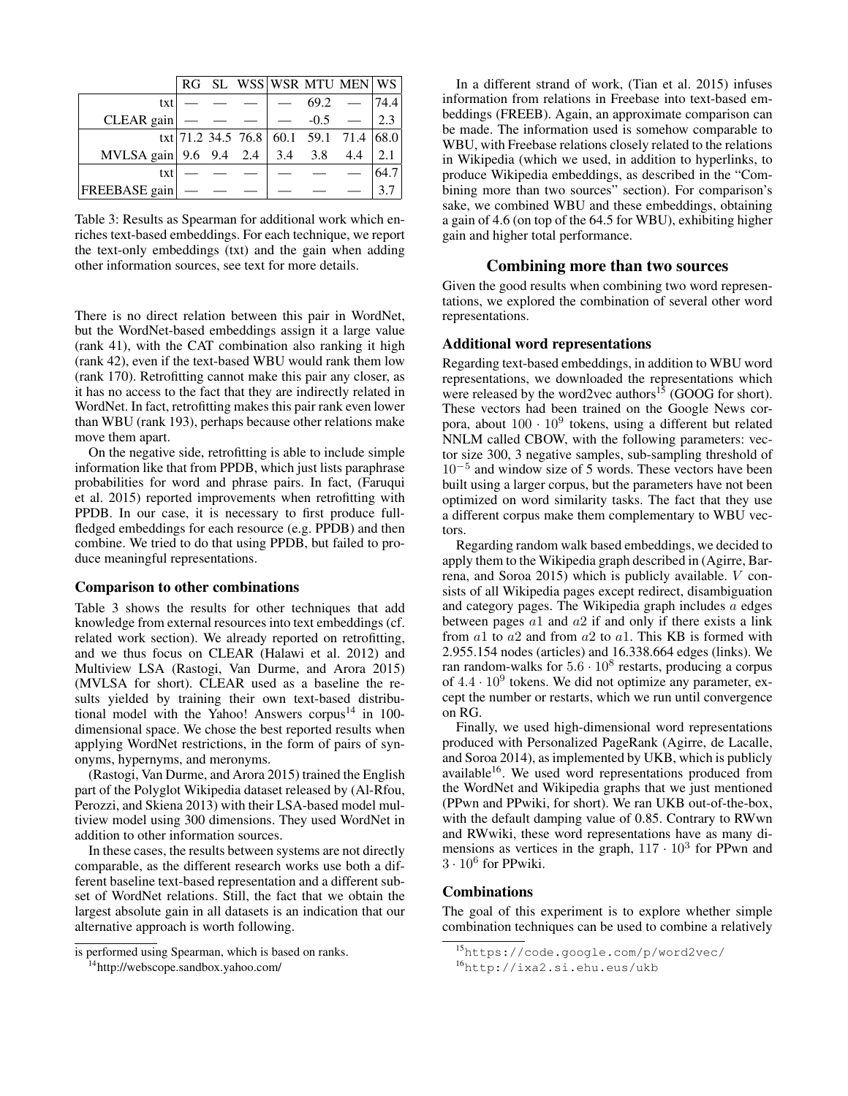|                                    | RG. |  |              | SL WSS WSR MTU MEN WS                  |      |
|------------------------------------|-----|--|--------------|----------------------------------------|------|
| txt                                |     |  | 69.2         |                                        | 74.4 |
| CLEAR gain $\vert$ - -             |     |  | $-$ -0.5 $-$ |                                        | 23   |
|                                    |     |  |              | txt 71.2 34.5 76.8 60.1 59.1 71.4 68.0 |      |
| MVLSA gain 9.6 9.4 2.4 3.4 3.8 4.4 |     |  |              |                                        | 2.1  |
| txt                                |     |  |              |                                        | 64.7 |
| FREEBASE gain                      |     |  |              |                                        |      |

Table 3: Results as Spearman for additional work which enriches text-based embeddings. For each technique, we report the text-only embeddings (txt) and the gain when adding other information sources, see text for more details.

There is no direct relation between this pair in WordNet, but the WordNet-based embeddings assign it a large value (rank 41), with the CAT combination also ranking it high (rank 42), even if the text-based WBU would rank them low (rank 170). Retrofitting cannot make this pair any closer, as it has no access to the fact that they are indirectly related in WordNet. In fact, retrofitting makes this pair rank even lower than WBU (rank 193), perhaps because other relations make move them apart.

On the negative side, retrofitting is able to include simple information like that from PPDB, which just lists paraphrase probabilities for word and phrase pairs. In fact, (Faruqui et al. 2015) reported improvements when retrofitting with PPDB. In our case, it is necessary to first produce fullfledged embeddings for each resource (e.g. PPDB) and then combine. We tried to do that using PPDB, but failed to produce meaningful representations.

#### Comparison to other combinations

Table 3 shows the results for other techniques that add knowledge from external resources into text embeddings (cf. related work section). We already reported on retrofitting, and we thus focus on CLEAR (Halawi et al. 2012) and Multiview LSA (Rastogi, Van Durme, and Arora 2015) (MVLSA for short). CLEAR used as a baseline the results yielded by training their own text-based distributional model with the Yahoo! Answers corpus<sup>14</sup> in 100dimensional space. We chose the best reported results when applying WordNet restrictions, in the form of pairs of synonyms, hypernyms, and meronyms.

(Rastogi, Van Durme, and Arora 2015) trained the English part of the Polyglot Wikipedia dataset released by (Al-Rfou, Perozzi, and Skiena 2013) with their LSA-based model multiview model using 300 dimensions. They used WordNet in addition to other information sources.

In these cases, the results between systems are not directly comparable, as the different research works use both a different baseline text-based representation and a different subset of WordNet relations. Still, the fact that we obtain the largest absolute gain in all datasets is an indication that our alternative approach is worth following.

In a different strand of work, (Tian et al. 2015) infuses information from relations in Freebase into text-based embeddings (FREEB). Again, an approximate comparison can be made. The information used is somehow comparable to WBU, with Freebase relations closely related to the relations in Wikipedia (which we used, in addition to hyperlinks, to produce Wikipedia embeddings, as described in the "Combining more than two sources" section). For comparison's sake, we combined WBU and these embeddings, obtaining a gain of 4.6 (on top of the 64.5 for WBU), exhibiting higher gain and higher total performance.

# Combining more than two sources

Given the good results when combining two word representations, we explored the combination of several other word representations.

# Additional word representations

Regarding text-based embeddings, in addition to WBU word representations, we downloaded the representations which were released by the word2vec authors<sup>15</sup> (GOOG for short). These vectors had been trained on the Google News corpora, about  $100 \cdot 10^9$  tokens, using a different but related NNLM called CBOW, with the following parameters: vector size 300, 3 negative samples, sub-sampling threshold of 10<sup>−</sup><sup>5</sup> and window size of 5 words. These vectors have been built using a larger corpus, but the parameters have not been optimized on word similarity tasks. The fact that they use a different corpus make them complementary to WBU vectors.

Regarding random walk based embeddings, we decided to apply them to the Wikipedia graph described in (Agirre, Barrena, and Soroa 2015) which is publicly available. V consists of all Wikipedia pages except redirect, disambiguation and category pages. The Wikipedia graph includes a edges between pages  $a1$  and  $a2$  if and only if there exists a link from  $a1$  to  $a2$  and from  $a2$  to  $a1$ . This KB is formed with 2.955.154 nodes (articles) and 16.338.664 edges (links). We ran random-walks for  $5.6 \cdot 10^8$  restarts, producing a corpus of  $4.4 \cdot 10^9$  tokens. We did not optimize any parameter, except the number or restarts, which we run until convergence on RG.

Finally, we used high-dimensional word representations produced with Personalized PageRank (Agirre, de Lacalle, and Soroa 2014), as implemented by UKB, which is publicly available<sup>16</sup>. We used word representations produced from the WordNet and Wikipedia graphs that we just mentioned (PPwn and PPwiki, for short). We ran UKB out-of-the-box, with the default damping value of 0.85. Contrary to RWwn and RWwiki, these word representations have as many dimensions as vertices in the graph,  $117 \cdot 10^3$  for PPwn and  $3 \cdot 10^6$  for PPwiki.

### Combinations

The goal of this experiment is to explore whether simple combination techniques can be used to combine a relatively

is performed using Spearman, which is based on ranks.

<sup>&</sup>lt;sup>14</sup>http://webscope.sandbox.yahoo.com/

<sup>15</sup>https://code.google.com/p/word2vec/

<sup>16</sup>http://ixa2.si.ehu.eus/ukb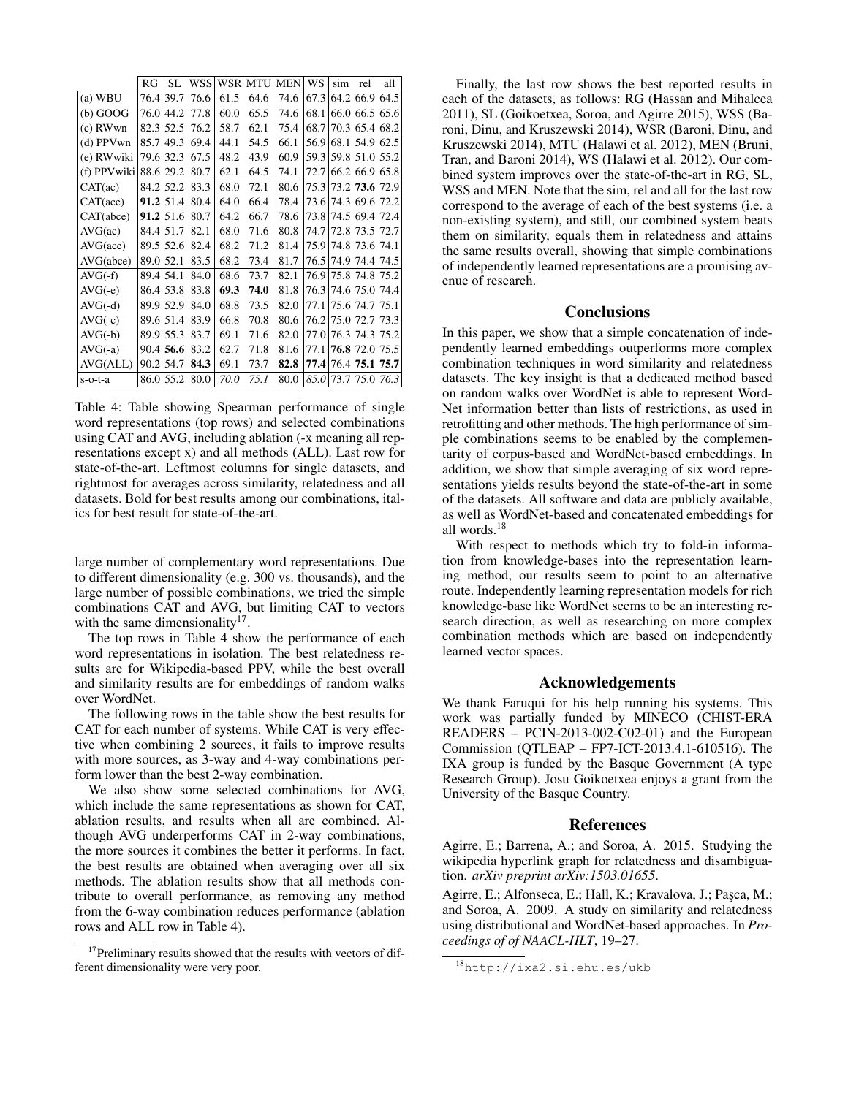|              | RG        | SL             | <b>WSS</b>     |      | WSR MTU MEN |      | WS    | sim | rel            | all |
|--------------|-----------|----------------|----------------|------|-------------|------|-------|-----|----------------|-----|
| $(a)$ WBU    |           | 76.4 39.7      | 76.6           | 61.5 | 64.6        | 74.6 | 67.3  |     | 64.2 66.9 64.5 |     |
| $(b)$ GOOG   |           | 76.0 44.2      | 77.8           | 60.0 | 65.5        | 74.6 | 68.1  |     | 66.0 66.5 65.6 |     |
| $(c)$ RWwn   |           | 82.3 52.5 76.2 |                | 58.7 | 62.1        | 75.4 | 68.7  |     | 70.3 65.4 68.2 |     |
| $(d)$ PPV wn |           | 85.749.3       | 69.4           | 44.1 | 54.5        | 66.1 | 56.9  |     | 68.1 54.9 62.5 |     |
| (e) RWwiki   |           |                | 79.6 32.3 67.5 | 48.2 | 43.9        | 60.9 | 59.3  |     | 59.8 51.0 55.2 |     |
| (f) PPVwiki  |           | 88.6 29.2      | 80.7           | 62.1 | 64.5        | 74.1 | 72.7  |     | 66.2 66.9 65.8 |     |
| CAT(ac)      |           | 84.2 52.2 83.3 |                | 68.0 | 72.1        | 80.6 | 75.3  |     | 73.2 73.6 72.9 |     |
| CAT(ace)     |           | 91.2 51.4      | 80.4           | 64.0 | 66.4        | 78.4 | 73.6  |     | 74.3 69.6 72.2 |     |
| CAT(abc)     |           | 91.2 51.6      | 80.7           | 64.2 | 66.7        | 78.6 | 73.8  |     | 74.5 69.4 72.4 |     |
| AVG(ac)      |           | 84.4 51.7      | 82.1           | 68.0 | 71.6        | 80.8 | 74.7  |     | 72.8 73.5 72.7 |     |
| AVG(ace)     |           | 89.5 52.6      | 82.4           | 68.2 | 71.2        | 81.4 | 75.9  |     | 74.8 73.6 74.1 |     |
| AVG(abce)    | 89.0 52.1 |                | 83.5           | 68.2 | 73.4        | 81.7 | 76.5  |     | 74.9 74.4 74.5 |     |
| $AVG(-f)$    |           | 89.4 54.1      | 84.0           | 68.6 | 73.7        | 82.1 | 76.9  |     | 75.8 74.8 75.2 |     |
| $AVG(-e)$    |           | 86.4 53.8      | 83.8           | 69.3 | 74.0        | 81.8 | 76.3  |     | 74.6 75.0 74.4 |     |
| $AVG(-d)$    |           | 89.9 52.9      | 84.0           | 68.8 | 73.5        | 82.0 | 77.1  |     | 75.6 74.7 75.1 |     |
| $AVG(-c)$    |           | 89.6 51.4      | 83.9           | 66.8 | 70.8        | 80.6 | 76.2  |     | 75.0 72.7 73.3 |     |
| $AVG(-b)$    |           | 89.9 55.3      | 83.7           | 69.1 | 71.6        | 82.0 | 77.0  |     | 76.3 74.3 75.2 |     |
| $AVG(-a)$    |           | 90.4 56.6      | 83.2           | 62.7 | 71.8        | 81.6 | 77.1  |     | 76.8 72.0 75.5 |     |
| AVG(ALL)     |           | 90.2 54.7      | 84.3           | 69.1 | 73.7        | 82.8 | 77.41 |     | 76.4 75.1 75.7 |     |
| $s$ -o-t-a   |           | 86.0 55.2      | 80.0           | 70.0 | 75.1        | 80.0 | 85.0  |     | 73.7 75.0 76.3 |     |

Table 4: Table showing Spearman performance of single word representations (top rows) and selected combinations using CAT and AVG, including ablation (-x meaning all representations except x) and all methods (ALL). Last row for state-of-the-art. Leftmost columns for single datasets, and rightmost for averages across similarity, relatedness and all datasets. Bold for best results among our combinations, italics for best result for state-of-the-art.

large number of complementary word representations. Due to different dimensionality (e.g. 300 vs. thousands), and the large number of possible combinations, we tried the simple combinations CAT and AVG, but limiting CAT to vectors with the same dimensionality<sup>17</sup>.

The top rows in Table 4 show the performance of each word representations in isolation. The best relatedness results are for Wikipedia-based PPV, while the best overall and similarity results are for embeddings of random walks over WordNet.

The following rows in the table show the best results for CAT for each number of systems. While CAT is very effective when combining 2 sources, it fails to improve results with more sources, as 3-way and 4-way combinations perform lower than the best 2-way combination.

We also show some selected combinations for AVG, which include the same representations as shown for CAT, ablation results, and results when all are combined. Although AVG underperforms CAT in 2-way combinations, the more sources it combines the better it performs. In fact, the best results are obtained when averaging over all six methods. The ablation results show that all methods contribute to overall performance, as removing any method from the 6-way combination reduces performance (ablation rows and ALL row in Table 4).

Finally, the last row shows the best reported results in each of the datasets, as follows: RG (Hassan and Mihalcea 2011), SL (Goikoetxea, Soroa, and Agirre 2015), WSS (Baroni, Dinu, and Kruszewski 2014), WSR (Baroni, Dinu, and Kruszewski 2014), MTU (Halawi et al. 2012), MEN (Bruni, Tran, and Baroni 2014), WS (Halawi et al. 2012). Our combined system improves over the state-of-the-art in RG, SL, WSS and MEN. Note that the sim, rel and all for the last row correspond to the average of each of the best systems (i.e. a non-existing system), and still, our combined system beats them on similarity, equals them in relatedness and attains the same results overall, showing that simple combinations of independently learned representations are a promising avenue of research.

### **Conclusions**

In this paper, we show that a simple concatenation of independently learned embeddings outperforms more complex combination techniques in word similarity and relatedness datasets. The key insight is that a dedicated method based on random walks over WordNet is able to represent Word-Net information better than lists of restrictions, as used in retrofitting and other methods. The high performance of simple combinations seems to be enabled by the complementarity of corpus-based and WordNet-based embeddings. In addition, we show that simple averaging of six word representations yields results beyond the state-of-the-art in some of the datasets. All software and data are publicly available, as well as WordNet-based and concatenated embeddings for all words.<sup>18</sup>

With respect to methods which try to fold-in information from knowledge-bases into the representation learning method, our results seem to point to an alternative route. Independently learning representation models for rich knowledge-base like WordNet seems to be an interesting research direction, as well as researching on more complex combination methods which are based on independently learned vector spaces.

### Acknowledgements

We thank Faruqui for his help running his systems. This work was partially funded by MINECO (CHIST-ERA READERS – PCIN-2013-002-C02-01) and the European Commission (QTLEAP – FP7-ICT-2013.4.1-610516). The IXA group is funded by the Basque Government (A type Research Group). Josu Goikoetxea enjoys a grant from the University of the Basque Country.

#### References

Agirre, E.; Barrena, A.; and Soroa, A. 2015. Studying the wikipedia hyperlink graph for relatedness and disambiguation. *arXiv preprint arXiv:1503.01655*.

Agirre, E.; Alfonseca, E.; Hall, K.; Kravalova, J.; Paşca, M.; and Soroa, A. 2009. A study on similarity and relatedness using distributional and WordNet-based approaches. In *Proceedings of of NAACL-HLT*, 19–27.

<sup>&</sup>lt;sup>17</sup>Preliminary results showed that the results with vectors of different dimensionality were very poor.

<sup>18</sup>http://ixa2.si.ehu.es/ukb